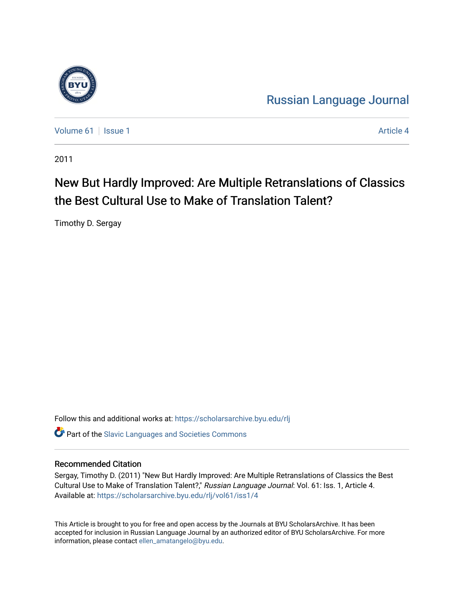

[Russian Language Journal](https://scholarsarchive.byu.edu/rlj) 

[Volume 61](https://scholarsarchive.byu.edu/rlj/vol61) | [Issue 1](https://scholarsarchive.byu.edu/rlj/vol61/iss1) [Article 4](https://scholarsarchive.byu.edu/rlj/vol61/iss1/4) Article 4

2011

# New But Hardly Improved: Are Multiple Retranslations of Classics the Best Cultural Use to Make of Translation Talent?

Timothy D. Sergay

Follow this and additional works at: [https://scholarsarchive.byu.edu/rlj](https://scholarsarchive.byu.edu/rlj?utm_source=scholarsarchive.byu.edu%2Frlj%2Fvol61%2Fiss1%2F4&utm_medium=PDF&utm_campaign=PDFCoverPages)

**C** Part of the Slavic Languages and Societies Commons

#### Recommended Citation

Sergay, Timothy D. (2011) "New But Hardly Improved: Are Multiple Retranslations of Classics the Best Cultural Use to Make of Translation Talent?," Russian Language Journal: Vol. 61: Iss. 1, Article 4. Available at: [https://scholarsarchive.byu.edu/rlj/vol61/iss1/4](https://scholarsarchive.byu.edu/rlj/vol61/iss1/4?utm_source=scholarsarchive.byu.edu%2Frlj%2Fvol61%2Fiss1%2F4&utm_medium=PDF&utm_campaign=PDFCoverPages) 

This Article is brought to you for free and open access by the Journals at BYU ScholarsArchive. It has been accepted for inclusion in Russian Language Journal by an authorized editor of BYU ScholarsArchive. For more information, please contact [ellen\\_amatangelo@byu.edu.](mailto:ellen_amatangelo@byu.edu)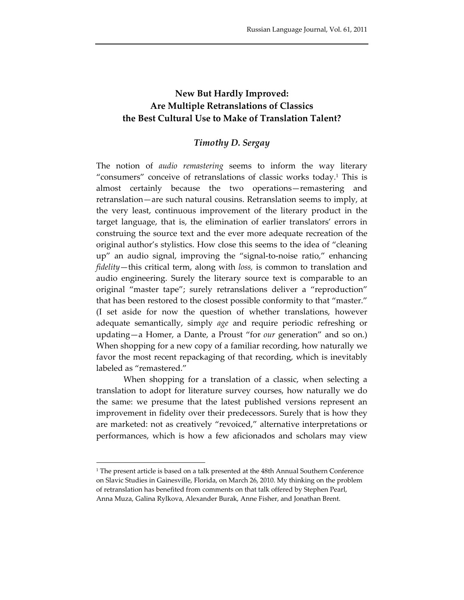## **New But Hardly Improved: Are Multiple Retranslations of Classics the Best Cultural Use to Make of Translation Talent?**

## *Timothy D. Sergay*

The notion of *audio remastering* seems to inform the way literary "consumers" conceive of retranslations of classic works today.1 This is almost certainly because the two operations—remastering and retranslation—are such natural cousins. Retranslation seems to imply, at the very least, continuous improvement of the literary product in the target language, that is, the elimination of earlier translators' errors in construing the source text and the ever more adequate recreation of the original author's stylistics. How close this seems to the idea of "cleaning up" an audio signal, improving the "signal‐to‐noise ratio," enhancing *fidelity*—this critical term, along with *loss,* is common to translation and audio engineering. Surely the literary source text is comparable to an original "master tape"; surely retranslations deliver a "reproduction" that has been restored to the closest possible conformity to that "master." (I set aside for now the question of whether translations, however adequate semantically, simply *age* and require periodic refreshing or updating—a Homer, a Dante, a Proust "for *our* generation" and so on.) When shopping for a new copy of a familiar recording, how naturally we favor the most recent repackaging of that recording, which is inevitably labeled as "remastered."

When shopping for a translation of a classic, when selecting a translation to adopt for literature survey courses, how naturally we do the same: we presume that the latest published versions represent an improvement in fidelity over their predecessors. Surely that is how they are marketed: not as creatively "revoiced," alternative interpretations or performances, which is how a few aficionados and scholars may view

<sup>1</sup> The present article is based on a talk presented at the 48th Annual Southern Conference on Slavic Studies in Gainesville, Florida, on March 26, 2010. My thinking on the problem of retranslation has benefited from comments on that talk offered by Stephen Pearl, Anna Muza, Galina Rylkova, Alexander Burak, Anne Fisher, and Jonathan Brent.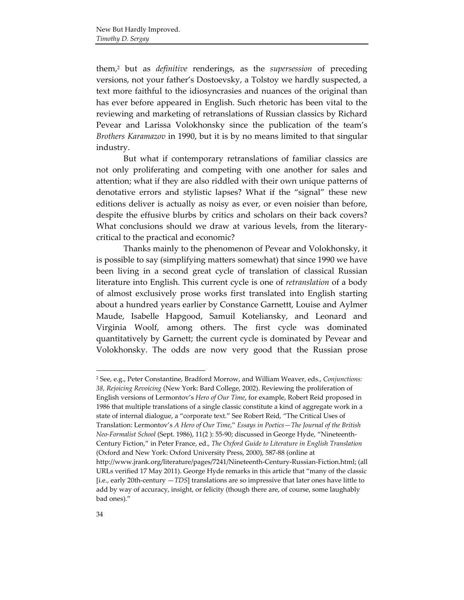them,2 but as *definitive* renderings, as the *supersession* of preceding versions, not your father's Dostoevsky, a Tolstoy we hardly suspected, a text more faithful to the idiosyncrasies and nuances of the original than has ever before appeared in English. Such rhetoric has been vital to the reviewing and marketing of retranslations of Russian classics by Richard Pevear and Larissa Volokhonsky since the publication of the team's *Brothers Karamazov* in 1990, but it is by no means limited to that singular industry.

But what if contemporary retranslations of familiar classics are not only proliferating and competing with one another for sales and attention; what if they are also riddled with their own unique patterns of denotative errors and stylistic lapses? What if the "signal" these new editions deliver is actually as noisy as ever, or even noisier than before, despite the effusive blurbs by critics and scholars on their back covers? What conclusions should we draw at various levels, from the literarycritical to the practical and economic?

Thanks mainly to the phenomenon of Pevear and Volokhonsky, it is possible to say (simplifying matters somewhat) that since 1990 we have been living in a second great cycle of translation of classical Russian literature into English. This current cycle is one of *retranslation* of a body of almost exclusively prose works first translated into English starting about a hundred years earlier by Constance Garnettt, Louise and Aylmer Maude, Isabelle Hapgood, Samuil Koteliansky, and Leonard and Virginia Woolf, among others. The first cycle was dominated quantitatively by Garnett; the current cycle is dominated by Pevear and Volokhonsky. The odds are now very good that the Russian prose

<sup>2</sup> See, e.g., Peter Constantine, Bradford Morrow, and William Weaver, eds., *Conjunctions: 38, Rejoicing Revoicing* (New York: Bard College, 2002). Reviewing the proliferation of English versions of Lermontov's *Hero of Our Time*, for example, Robert Reid proposed in 1986 that multiple translations of a single classic constitute a kind of aggregate work in a state of internal dialogue, a "corporate text." See Robert Reid, "The Critical Uses of Translation: Lermontov's *A Hero of Our Time*," *Essays in Poetics—The Journal of the British Neo‐Formalist School* (Sept. 1986), 11(2 ): 55‐90; discussed in George Hyde, "Nineteenth‐ Century Fiction," in Peter France, ed., *The Oxford Guide to Literature in English Translation* (Oxford and New York: Oxford University Press, 2000), 587‐88 (online at http://www.jrank.org/literature/pages/7241/Nineteenth‐Century‐Russian‐Fiction.html; (all URLs verified 17 May 2011). George Hyde remarks in this article that "many of the classic [i.e., early 20th‐century —*TDS*] translations are so impressive that later ones have little to add by way of accuracy, insight, or felicity (though there are, of course, some laughably bad ones)."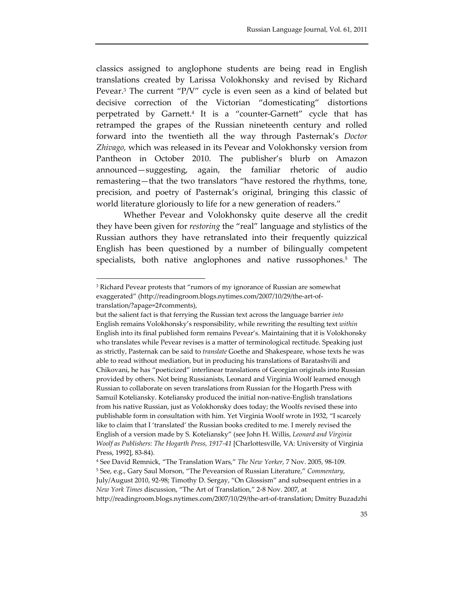classics assigned to anglophone students are being read in English translations created by Larissa Volokhonsky and revised by Richard Pevear.3 The current "P/V" cycle is even seen as a kind of belated but decisive correction of the Victorian "domesticating" distortions perpetrated by Garnett.4 It is a "counter‐Garnett" cycle that has retramped the grapes of the Russian nineteenth century and rolled forward into the twentieth all the way through Pasternak's *Doctor Zhivago,* which was released in its Pevear and Volokhonsky version from Pantheon in October 2010. The publisher's blurb on Amazon announced—suggesting, again, the familiar rhetoric of audio remastering—that the two translators "have restored the rhythms, tone, precision, and poetry of Pasternak's original, bringing this classic of world literature gloriously to life for a new generation of readers."

Whether Pevear and Volokhonsky quite deserve all the credit they have been given for *restoring* the "real" language and stylistics of the Russian authors they have retranslated into their frequently quizzical English has been questioned by a number of bilingually competent specialists, both native anglophones and native russophones.5 The

<sup>3</sup> Richard Pevear protests that "rumors of my ignorance of Russian are somewhat exaggerated" (http://readingroom.blogs.nytimes.com/2007/10/29/the-art-oftranslation/?apage=2#comments),

but the salient fact is that ferrying the Russian text across the language barrier *into* English remains Volokhonsky's responsibility, while rewriting the resulting text *within* English into its final published form remains Pevear's. Maintaining that it is Volokhonsky who translates while Pevear revises is a matter of terminological rectitude. Speaking just as strictly, Pasternak can be said to *translate* Goethe and Shakespeare, whose texts he was able to read without mediation, but in producing his translations of Baratashvili and Chikovani, he has "poeticized" interlinear translations of Georgian originals into Russian provided by others. Not being Russianists, Leonard and Virginia Woolf learned enough Russian to collaborate on seven translations from Russian for the Hogarth Press with Samuil Koteliansky. Koteliansky produced the initial non‐native‐English translations from his native Russian, just as Volokhonsky does today; the Woolfs revised these into publishable form in consultation with him. Yet Virginia Woolf wrote in 1932, "I scarcely like to claim that I 'translated' the Russian books credited to me. I merely revised the English of a version made by S. Koteliansky" (see John H. Willis, *Leonard and Virginia Woolf as Publishers: The Hogarth Press, 1917‐41* [Charlottesville, VA: University of Virginia Press, 1992], 83‐84).

<sup>4</sup> See David Remnick, "The Translation Wars," *The New Yorker,* 7 Nov. 2005, 98‐109. <sup>5</sup> See, e.g., Gary Saul Morson, "The Pevearsion of Russian Literature," *Commentary*, July/August 2010, 92‐98; Timothy D. Sergay, "On Glossism" and subsequent entries in a *New York Times* discussion, "The Art of Translation," 2‐8 Nov. 2007, at http://readingroom.blogs.nytimes.com/2007/10/29/the‐art‐of‐translation; Dmitry Buzadzhi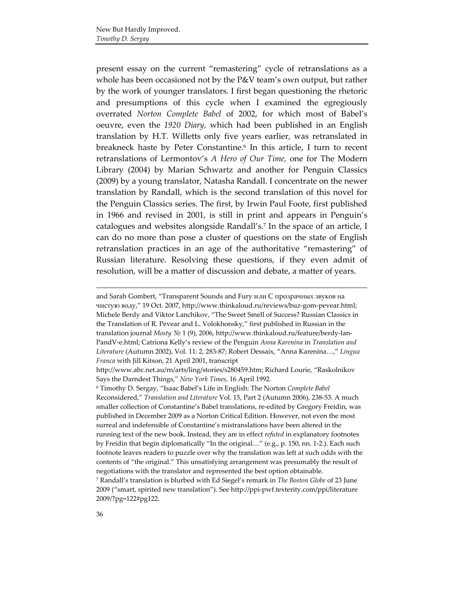present essay on the current "remastering" cycle of retranslations as a whole has been occasioned not by the P&V team's own output, but rather by the work of younger translators. I first began questioning the rhetoric and presumptions of this cycle when I examined the egregiously overrated *Norton Complete Babel* of 2002, for which most of Babel's oeuvre, even the *1920 Diary,* which had been published in an English translation by H.T. Willetts only five years earlier, was retranslated in breakneck haste by Peter Constantine.6 In this article, I turn to recent retranslations of Lermontov's *A Hero of Our Time,* one for The Modern Library (2004) by Marian Schwartz and another for Penguin Classics (2009) by a young translator, Natasha Randall. I concentrate on the newer translation by Randall, which is the second translation of this novel for the Penguin Classics series. The first, by Irwin Paul Foote, first published in 1966 and revised in 2001, is still in print and appears in Penguin's catalogues and websites alongside Randall's.7 In the space of an article, I can do no more than pose a cluster of questions on the state of English retranslation practices in an age of the authoritative "remastering" of Russian literature. Resolving these questions, if they even admit of resolution, will be a matter of discussion and debate, a matter of years.

and Sarah Gombert, "Transparent Sounds and Fury или С прозрачных звуков на чистую воду," 19 Oct. 2007, http://www.thinkaloud.ru/reviews/buz‐gom‐pevear.html; Michele Berdy and Viktor Lanchikov, "The Sweet Smell of Success? Russian Classics in the Translation of R. Pevear and L. Volokhonsky," first published in Russian in the translation journal *Mosty* № 1 (9), 2006, http://www.thinkaloud.ru/feature/berdy‐lan‐ PandV‐e.html; Catriona Kelly's review of the Penguin *Anna Karenina* in *Translation and Literature* (Autumn 2002), Vol. 11: 2, 283‐87; Robert Dessaix, "Anna Karenina…," *Lingua Franca* with Jill Kitson, 21 April 2001, transcript

http://www.abc.net.au/rn/arts/ling/stories/s280459.htm; Richard Lourie, "Raskolnikov Says the Darndest Things," *New York Times*, 16 April 1992.

<sup>6</sup> Timothy D. Sergay, "Isaac Babel's Life in English: The Norton *Complete Babel* Reconsidered," *Translation and Literature* Vol. 15, Part 2 (Autumn 2006), 238‐53. A much smaller collection of Constantine's Babel translations, re-edited by Gregory Freidin, was published in December 2009 as a Norton Critical Edition. However, not even the most surreal and indefensible of Constantine's mistranslations have been altered in the running text of the new book. Instead, they are in effect *refuted* in explanatory footnotes by Freidin that begin diplomatically "In the original…" (e.g., p. 150, nn. 1‐2.). Each such footnote leaves readers to puzzle over why the translation was left at such odds with the contents of "the original." This unsatisfying arrangement was presumably the result of negotiations with the translator and represented the best option obtainable.

<sup>7</sup> Randall's translation is blurbed with Ed Siegel's remark in *The Boston Globe* of 23 June 2009 ("smart, spirited new translation"). See http://ppi‐pwf.texterity.com/ppi/literature 2009/?pg=122#pg122.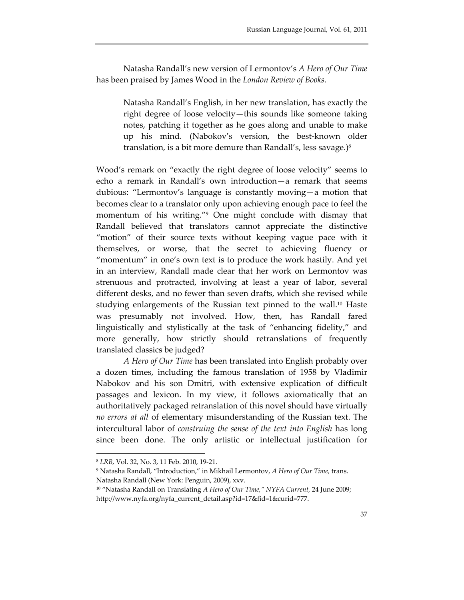Natasha Randall's new version of Lermontov's *A Hero of Our Time* has been praised by James Wood in the *London Review of Books.*

> Natasha Randall's English, in her new translation, has exactly the right degree of loose velocity—this sounds like someone taking notes, patching it together as he goes along and unable to make up his mind. (Nabokov's version, the best‐known older translation, is a bit more demure than Randall's, less savage.)8

Wood's remark on "exactly the right degree of loose velocity" seems to echo a remark in Randall's own introduction—a remark that seems dubious: "Lermontov's language is constantly moving—a motion that becomes clear to a translator only upon achieving enough pace to feel the momentum of his writing."9 One might conclude with dismay that Randall believed that translators cannot appreciate the distinctive "motion" of their source texts without keeping vague pace with it themselves, or worse, that the secret to achieving fluency or "momentum" in one's own text is to produce the work hastily. And yet in an interview, Randall made clear that her work on Lermontov was strenuous and protracted, involving at least a year of labor, several different desks, and no fewer than seven drafts, which she revised while studying enlargements of the Russian text pinned to the wall.<sup>10</sup> Haste was presumably not involved. How, then, has Randall fared linguistically and stylistically at the task of "enhancing fidelity," and more generally, how strictly should retranslations of frequently translated classics be judged?

*A Hero of Our Time* has been translated into English probably over a dozen times, including the famous translation of 1958 by Vladimir Nabokov and his son Dmitri, with extensive explication of difficult passages and lexicon. In my view, it follows axiomatically that an authoritatively packaged retranslation of this novel should have virtually *no errors at all* of elementary misunderstanding of the Russian text. The intercultural labor of *construing the sense of the text into English* has long since been done. The only artistic or intellectual justification for

<sup>8</sup> *LRB*, Vol. 32, No. 3, 11 Feb. 2010, 19‐21.

<sup>9</sup> Natasha Randall, "Introduction," in Mikhail Lermontov, *A Hero of Our Time,* trans. Natasha Randall (New York: Penguin, 2009), xxv.

<sup>10</sup> "Natasha Randall on Translating *A Hero of Our Time," NYFA Current*, 24 June 2009; http://www.nyfa.org/nyfa\_current\_detail.asp?id=17&fid=1&curid=777.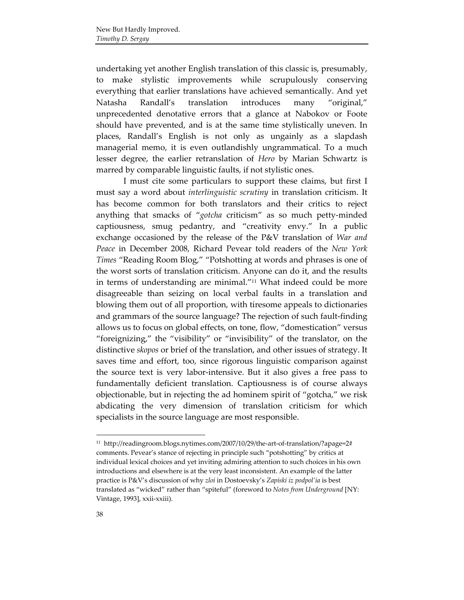undertaking yet another English translation of this classic is, presumably, to make stylistic improvements while scrupulously conserving everything that earlier translations have achieved semantically. And yet Natasha Randall's translation introduces many "original," unprecedented denotative errors that a glance at Nabokov or Foote should have prevented, and is at the same time stylistically uneven. In places, Randall's English is not only as ungainly as a slapdash managerial memo, it is even outlandishly ungrammatical. To a much lesser degree, the earlier retranslation of *Hero* by Marian Schwartz is marred by comparable linguistic faults, if not stylistic ones.

I must cite some particulars to support these claims, but first I must say a word about *interlinguistic scrutiny* in translation criticism. It has become common for both translators and their critics to reject anything that smacks of "*gotcha* criticism" as so much petty‐minded captiousness, smug pedantry, and "creativity envy." In a public exchange occasioned by the release of the P&V translation of *War and Peace* in December 2008, Richard Pevear told readers of the *New York Times* "Reading Room Blog," "Potshotting at words and phrases is one of the worst sorts of translation criticism. Anyone can do it, and the results in terms of understanding are minimal."11 What indeed could be more disagreeable than seizing on local verbal faults in a translation and blowing them out of all proportion, with tiresome appeals to dictionaries and grammars of the source language? The rejection of such fault‐finding allows us to focus on global effects, on tone, flow, "domestication" versus "foreignizing," the "visibility" or "invisibility" of the translator, on the distinctive *skopos* or brief of the translation, and other issues of strategy. It saves time and effort, too, since rigorous linguistic comparison against the source text is very labor‐intensive. But it also gives a free pass to fundamentally deficient translation. Captiousness is of course always objectionable, but in rejecting the ad hominem spirit of "gotcha," we risk abdicating the very dimension of translation criticism for which specialists in the source language are most responsible.

<sup>&</sup>lt;sup>11</sup> http://readingroom.blogs.nytimes.com/2007/10/29/the-art-of-translation/?apage=2# comments. Pevear's stance of rejecting in principle such "potshotting" by critics at individual lexical choices and yet inviting admiring attention to such choices in his own introductions and elsewhere is at the very least inconsistent. An example of the latter practice is P&V's discussion of why *zloi* in Dostoevsky's *Zapiski iz podpol'ia* is best translated as "wicked" rather than "spiteful" (foreword to *Notes from Underground* [NY: Vintage, 1993], xxii‐xxiii).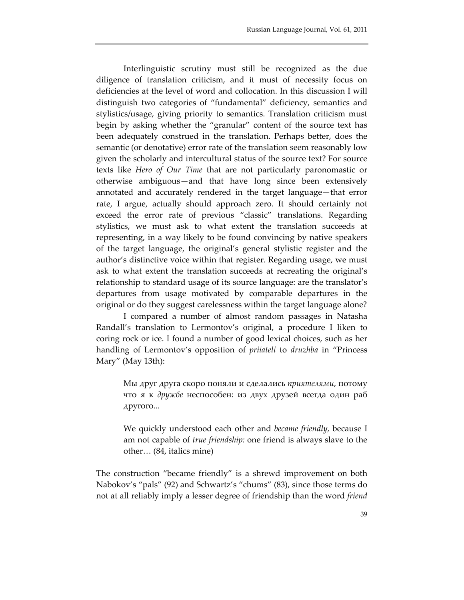Interlinguistic scrutiny must still be recognized as the due diligence of translation criticism, and it must of necessity focus on deficiencies at the level of word and collocation. In this discussion I will distinguish two categories of "fundamental" deficiency, semantics and stylistics/usage, giving priority to semantics. Translation criticism must begin by asking whether the "granular" content of the source text has been adequately construed in the translation. Perhaps better, does the semantic (or denotative) error rate of the translation seem reasonably low given the scholarly and intercultural status of the source text? For source texts like *Hero of Our Time* that are not particularly paronomastic or otherwise ambiguous—and that have long since been extensively annotated and accurately rendered in the target language—that error rate, I argue, actually should approach zero. It should certainly not exceed the error rate of previous "classic" translations. Regarding stylistics, we must ask to what extent the translation succeeds at representing, in a way likely to be found convincing by native speakers of the target language, the original's general stylistic register and the author's distinctive voice within that register. Regarding usage, we must ask to what extent the translation succeeds at recreating the original's relationship to standard usage of its source language: are the translator's departures from usage motivated by comparable departures in the original or do they suggest carelessness within the target language alone?

I compared a number of almost random passages in Natasha Randall's translation to Lermontov's original, a procedure I liken to coring rock or ice. I found a number of good lexical choices, such as her handling of Lermontov's opposition of *priiateli* to *druzhba* in "Princess Mary" (May 13th):

Мы друг друга скоро поняли и сделались *приятелями*, потому что я к *дружбе* неспособен: из двух друзей всегда один раб другого...

We quickly understood each other and *became friendly,* because I am not capable of *true friendship:* one friend is always slave to the other… (84, italics mine)

The construction "became friendly" is a shrewd improvement on both Nabokov's "pals" (92) and Schwartz's "chums" (83), since those terms do not at all reliably imply a lesser degree of friendship than the word *friend*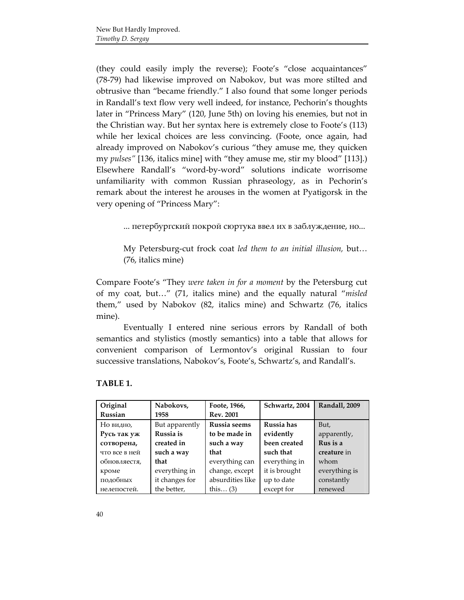(they could easily imply the reverse); Foote's "close acquaintances" (78‐79) had likewise improved on Nabokov, but was more stilted and obtrusive than "became friendly." I also found that some longer periods in Randall's text flow very well indeed, for instance, Pechorin's thoughts later in "Princess Mary" (120, June 5th) on loving his enemies, but not in the Christian way. But her syntax here is extremely close to Foote's (113) while her lexical choices are less convincing. (Foote, once again, had already improved on Nabokov's curious "they amuse me, they quicken my *pulses"* [136, italics mine] with "they amuse me, stir my blood" [113].) Elsewhere Randall's "word‐by‐word" solutions indicate worrisome unfamiliarity with common Russian phraseology, as in Pechorin's remark about the interest he arouses in the women at Pyatigorsk in the very opening of "Princess Mary":

... петербургский покрой сюртука ввел их в заблуждение, но...

My Petersburg‐cut frock coat *led them to an initial illusion,* but… (76, italics mine)

Compare Foote's "They *were taken in for a moment* by the Petersburg cut of my coat, but…" (71, italics mine) and the equally natural "*misled* them," used by Nabokov (82, italics mine) and Schwartz (76, italics mine).

Eventually I entered nine serious errors by Randall of both semantics and stylistics (mostly semantics) into a table that allows for convenient comparison of Lermontov's original Russian to four successive translations, Nabokov's, Foote's, Schwartz's, and Randall's.

| Original      | Nabokovs,      | Foote, 1966,     | Schwartz, 2004 | <b>Randall</b> , 2009 |
|---------------|----------------|------------------|----------------|-----------------------|
| Russian       | 1958           | <b>Rev. 2001</b> |                |                       |
| Но видно,     | But apparently | Russia seems     | Russia has     | But,                  |
| Русь так уж   | Russia is      | to be made in    | evidently      | apparently,           |
| сотворена,    | created in     | such a way       | been created   | Rus is a              |
| что все в ней | such a way     | that             | such that      | creature in           |
| обновляестя,  | that           | everything can   | everything in  | whom                  |
| кроме         | everything in  | change, except   | it is brought  | everything is         |
| подобных      | it changes for | absurdities like | up to date     | constantly            |
| нелепостей.   | the better,    | this $(3)$       | except for     | renewed               |

#### **TABLE 1.**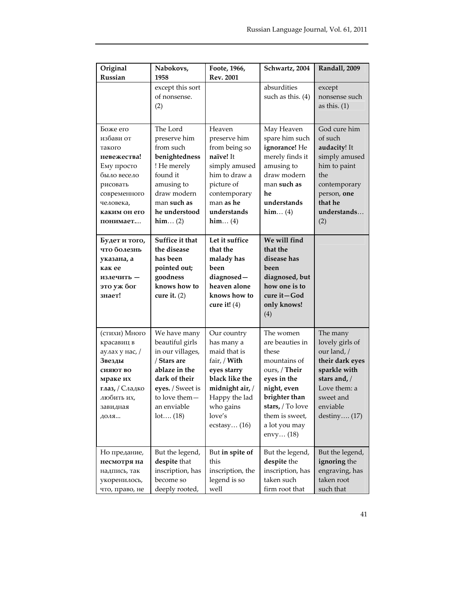| Original                                                                                   | Nabokovs,                                                                                                | Foote, 1966,                                                                                                     | Schwartz, 2004                                                                                                          | Randall, 2009                           |
|--------------------------------------------------------------------------------------------|----------------------------------------------------------------------------------------------------------|------------------------------------------------------------------------------------------------------------------|-------------------------------------------------------------------------------------------------------------------------|-----------------------------------------|
| Russian                                                                                    | 1958<br>except this sort                                                                                 | <b>Rev. 2001</b>                                                                                                 | absurdities                                                                                                             | except                                  |
|                                                                                            | of nonsense.<br>(2)                                                                                      |                                                                                                                  | such as this. (4)                                                                                                       | nonsense such<br>as this. $(1)$         |
|                                                                                            |                                                                                                          |                                                                                                                  |                                                                                                                         |                                         |
| Боже его<br>избави от<br>такого                                                            | The Lord<br>preserve him<br>from such                                                                    | Heaven<br>preserve him<br>from being so                                                                          | May Heaven<br>spare him such<br>ignorance! He                                                                           | God cure him<br>of such<br>audacity! It |
| невежества!<br>Ему просто                                                                  | benightedness<br>! He merely                                                                             | naïve! It<br>simply amused                                                                                       | merely finds it<br>amusing to                                                                                           | simply amused<br>him to paint           |
| было весело<br>рисовать                                                                    | found it<br>amusing to                                                                                   | him to draw a<br>picture of                                                                                      | draw modern<br>man such as                                                                                              | the<br>contemporary                     |
| современного<br>человека,                                                                  | draw modern<br>man <b>such as</b>                                                                        | contemporary<br>man as he                                                                                        | he<br>understands                                                                                                       | person, one<br>that he                  |
| каким он его<br>понимает                                                                   | he understood<br>$\text{him} \dots (2)$                                                                  | understands<br>$\text{him} \dots (4)$                                                                            | him (4)                                                                                                                 | understands<br>(2)                      |
| Будет и того,<br>что болезнь<br>указана, а<br>как ее<br>излечить -<br>это уж бог<br>знает! | Suffice it that<br>the disease<br>has been<br>pointed out;<br>goodness<br>knows how to<br>cure it. $(2)$ | Let it suffice<br>that the<br>malady has<br>been<br>diagnosed-<br>heaven alone<br>knows how to<br>cure it! $(4)$ | We will find<br>that the<br>disease has<br>been<br>diagnosed, but<br>how one is to<br>cure it-God<br>only knows!<br>(4) |                                         |
| (стихи) Много                                                                              | We have many                                                                                             | Our country                                                                                                      | The women                                                                                                               | The many                                |
| красавиц в<br>аулах у нас, /                                                               | beautiful girls<br>in our villages,                                                                      | has many a<br>maid that is                                                                                       | are beauties in<br>these                                                                                                | lovely girls of<br>our land, /          |
| Звезды<br>сияют во                                                                         | / Stars are<br>ablaze in the                                                                             | fair, / With<br>eyes starry                                                                                      | mountains of<br>ours, / Their                                                                                           | their dark eyes<br>sparkle with         |
| мраке их                                                                                   | dark of their                                                                                            | black like the                                                                                                   | eyes in the                                                                                                             | stars and, /                            |
| глаз, / Сладко                                                                             | eyes. / Sweet is                                                                                         | midnight air, /                                                                                                  | night, even                                                                                                             | Love them: a                            |
| любить их,                                                                                 | to love them-                                                                                            | Happy the lad                                                                                                    | brighter than                                                                                                           | sweet and                               |
| завидная                                                                                   | an enviable                                                                                              | who gains                                                                                                        | stars, / To love                                                                                                        | enviable                                |
| доля…                                                                                      | lot (18)                                                                                                 | love's<br>ecstasy $(16)$                                                                                         | them is sweet,<br>a lot you may<br>envy $(18)$                                                                          | destiny $(17)$                          |
| Но предание,                                                                               | But the legend,                                                                                          | But in spite of                                                                                                  | But the legend,                                                                                                         | But the legend,                         |
| несмотря на                                                                                | despite that                                                                                             | this                                                                                                             | despite the                                                                                                             | ignoring the                            |
| надпись, так                                                                               | inscription, has                                                                                         | inscription, the                                                                                                 | inscription, has                                                                                                        | engraving, has                          |
| укоренилось,<br>что, право, не                                                             | become so<br>deeply rooted,                                                                              | legend is so<br>well                                                                                             | taken such<br>firm root that                                                                                            | taken root<br>such that                 |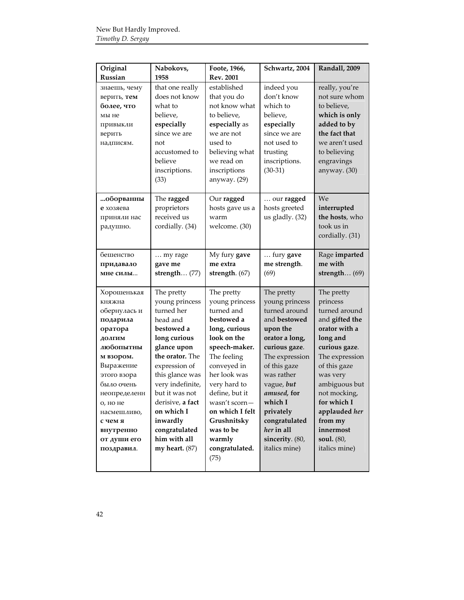| Original     | Nabokovs,        | Foote, 1966,     | Schwartz, 2004  | Randall, 2009   |
|--------------|------------------|------------------|-----------------|-----------------|
| Russian      | 1958             | <b>Rev. 2001</b> |                 |                 |
| знаешь, чему | that one really  | established      | indeed you      | really, you're  |
| верить, тем  | does not know    | that you do      | don't know      | not sure whom   |
| более, что   | what to          | not know what    | which to        | to believe,     |
| мы не        | believe,         | to believe,      | believe,        | which is only   |
| привыкли     | especially       | especially as    | especially      | added to by     |
| верить       | since we are     | we are not       | since we are    | the fact that   |
| надписям.    | not              | used to          | not used to     | we aren't used  |
|              | accustomed to    | believing what   | trusting        | to believing    |
|              | believe          | we read on       | inscriptions.   | engravings      |
|              | inscriptions.    | inscriptions     | $(30-31)$       | anyway. (30)    |
|              | (33)             | anyway. (29)     |                 |                 |
|              |                  |                  |                 |                 |
| …оборванны   | The ragged       | Our ragged       | our ragged      | We              |
| е хозяева    | proprietors      | hosts gave us a  | hosts greeted   | interrupted     |
| приняли нас  | received us      | warm             | us gladly. (32) | the hosts, who  |
| радушно.     | cordially. (34)  | welcome. (30)    |                 | took us in      |
|              |                  |                  |                 | cordially. (31) |
|              |                  |                  |                 |                 |
| бешенство    | my rage          | My fury gave     | fury gave       | Rage imparted   |
| придавало    | gave me          | me extra         | me strength.    | me with         |
| мне силы     | strength $(77)$  | strength. (67)   | (69)            | strength $(69)$ |
|              |                  |                  |                 |                 |
| Хорошенькая  | The pretty       | The pretty       | The pretty      | The pretty      |
| княжна       | young princess   | young princess   | young princess  | princess        |
| обернулась и | turned her       | turned and       | turned around   | turned around   |
| подарила     | head and         | bestowed a       | and bestowed    | and gifted the  |
| оратора      | bestowed a       | long, curious    | upon the        | orator with a   |
| долгим       | long curious     | look on the      | orator a long,  | long and        |
| любопытны    | glance upon      | speech-maker.    | curious gaze.   | curious gaze.   |
| м взором.    | the orator. The  | The feeling      | The expression  | The expression  |
| Выражение    | expression of    | conveyed in      | of this gaze    | of this gaze    |
| этого взора  | this glance was  | her look was     | was rather      | was very        |
| было очень   | very indefinite, | very hard to     | vague, but      | ambiguous but   |
| неопределенн | but it was not   | define, but it   | amused, for     | not mocking,    |
| о, но не     | derisive, a fact | wasn't scorn-    | which I         | for which I     |
| насмешливо,  | on which I       | on which I felt  | privately       | applauded her   |
| с чем я      | inwardly         | Grushnitsky      | congratulated   | from my         |
| внутренно    | congratulated    | was to be        | her in all      | innermost       |
| от души его  | him with all     | warmly           | sincerity. (80, | soul. (80,      |
| поздравил.   | my heart. $(87)$ | congratulated.   | italics mine)   | italics mine)   |
|              |                  | (75)             |                 |                 |
|              |                  |                  |                 |                 |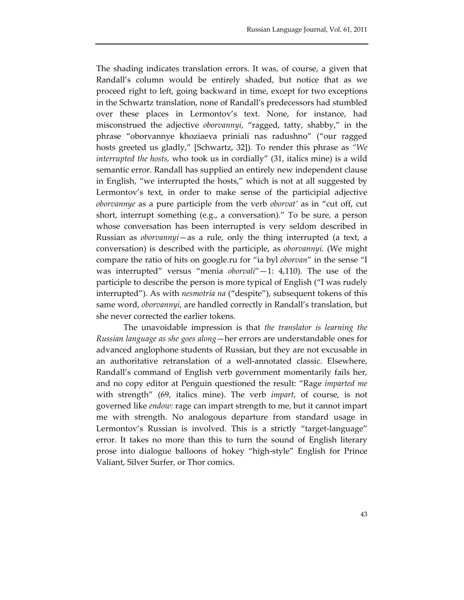The shading indicates translation errors. It was, of course, a given that Randall's column would be entirely shaded, but notice that as we proceed right to left, going backward in time, except for two exceptions in the Schwartz translation, none of Randall's predecessors had stumbled over these places in Lermontov's text. None, for instance, had misconstrued the adjective *oborvannyi*, "ragged, tatty, shabby," in the phrase "oborvannye khoziaeva priniali nas radushno" ("our ragged hosts greeted us gladly," [Schwartz, 32]). To render this phrase as *"We interrupted the hosts,* who took us in cordially" (31, italics mine) is a wild semantic error. Randall has supplied an entirely new independent clause in English, "we interrupted the hosts," which is not at all suggested by Lermontov's text, in order to make sense of the participial adjective *oborvannye* as a pure participle from the verb *oborvat'* as in "cut off, cut short, interrupt something (e.g., a conversation)." To be sure, a person whose conversation has been interrupted is very seldom described in Russian as *oborvannyi*—as a rule, only the thing interrupted (a text, a conversation) is described with the participle, as *oborvannyi*. (We might compare the ratio of hits on google.ru for "ia byl *oborvan*" in the sense "I was interrupted" versus "menia *oborvali*"—1: 4,110). The use of the participle to describe the person is more typical of English ("I was rudely interrupted"). As with *nesmotria na* ("despite"), subsequent tokens of this same word, *oborvannyi*, are handled correctly in Randall's translation, but she never corrected the earlier tokens.

The unavoidable impression is that *the translator is learning the Russian language as she goes along*—her errors are understandable ones for advanced anglophone students of Russian, but they are not excusable in an authoritative retranslation of a well‐annotated classic. Elsewhere, Randall's command of English verb government momentarily fails her, and no copy editor at Penguin questioned the result: "Rage *imparted me* with strength" (69, italics mine). The verb *impart*, of course, is not governed like *endow:* rage can impart strength to me, but it cannot impart me with strength. No analogous departure from standard usage in Lermontov's Russian is involved. This is a strictly "target-language" error. It takes no more than this to turn the sound of English literary prose into dialogue balloons of hokey "high‐style" English for Prince Valiant, Silver Surfer, or Thor comics.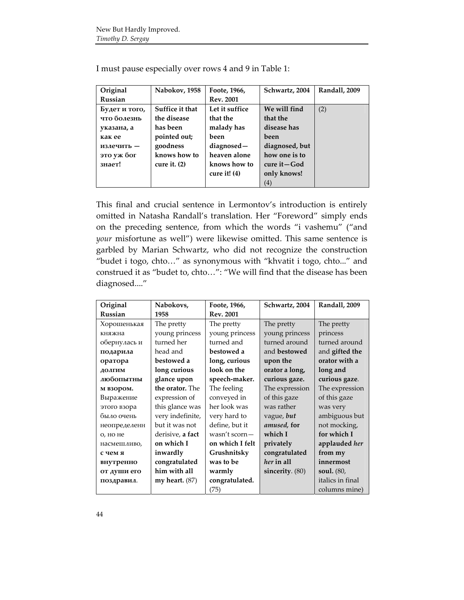| Original       | Nabokov, 1958   | Foote, 1966,     | Schwartz, 2004      | Randall, 2009 |
|----------------|-----------------|------------------|---------------------|---------------|
| <b>Russian</b> |                 | <b>Rev. 2001</b> |                     |               |
| Будет и того,  | Suffice it that | Let it suffice   | We will find        | (2)           |
| что болезнь    | the disease     | that the         | that the            |               |
| указана, а     | has been        | malady has       | disease has         |               |
| как ее         | pointed out;    | been             | been                |               |
| излечить -     | goodness        | diagnosed-       | diagnosed, but      |               |
| это уж бог     | knows how to    | heaven alone     | how one is to       |               |
| знает!         | cure it. $(2)$  | knows how to     | cure it – God       |               |
|                |                 | cure it! $(4)$   | only knows!         |               |
|                |                 |                  | $\scriptstyle{(4)}$ |               |

I must pause especially over rows 4 and 9 in Table 1:

This final and crucial sentence in Lermontov's introduction is entirely omitted in Natasha Randall's translation. Her "Foreword" simply ends on the preceding sentence, from which the words "i vashemu" ("and *your* misfortune as well") were likewise omitted. This same sentence is garbled by Marian Schwartz, who did not recognize the construction "budet i togo, chto…" as synonymous with "khvatit i togo, chto..." and construed it as "budet to, chto…": "We will find that the disease has been diagnosed...."

| Original     | Nabokovs,        | Foote, 1966,     | Schwartz, 2004  | Randall, 2009     |
|--------------|------------------|------------------|-----------------|-------------------|
| Russian      | 1958             | <b>Rev. 2001</b> |                 |                   |
| Хорошенькая  | The pretty       | The pretty       | The pretty      | The pretty        |
| княжна       | young princess   | young princess   | young princess  | princess          |
| обернулась и | turned her       | turned and       | turned around   | turned around     |
| подарила     | head and         | bestowed a       | and bestowed    | and gifted the    |
| оратора      | bestowed a       | long, curious    | upon the        | orator with a     |
| долгим       | long curious     | look on the      | orator a long,  | long and          |
| любопытны    | glance upon      | speech-maker.    | curious gaze.   | curious gaze.     |
| м взором.    | the orator. The  | The feeling      | The expression  | The expression    |
| Выражение    | expression of    | conveyed in      | of this gaze    | of this gaze      |
| этого взора  | this glance was  | her look was     | was rather      | was very          |
| было очень   | very indefinite, | very hard to     | vague, but      | ambiguous but     |
| неопределенн | but it was not   | define, but it   | amused, for     | not mocking,      |
| о, но не     | derisive, a fact | wasn't scorn-    | which I         | for which I       |
| насмешливо,  | on which I       | on which I felt  | privately       | applauded her     |
| с чем я      | inwardly         | Grushnitsky      | congratulated   | from my           |
| внутренно    | congratulated    | was to be        | her in all      | innermost         |
| от души его  | him with all     | warmly           | sincerity. (80) | <b>soul.</b> (80, |
| поздравил.   | my heart. $(87)$ | congratulated.   |                 | italics in final  |
|              |                  | (75)             |                 | columns mine)     |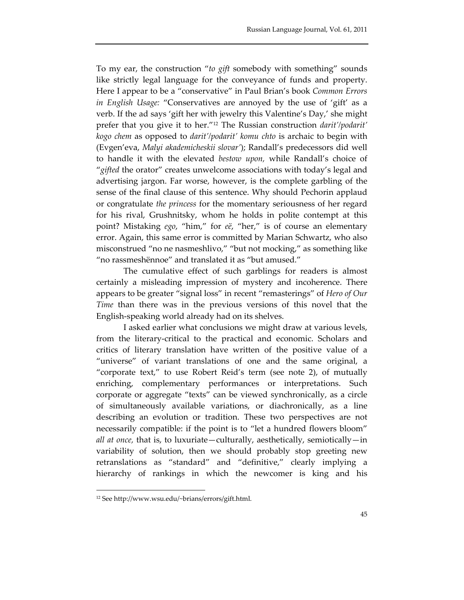To my ear, the construction "*to gift* somebody with something" sounds like strictly legal language for the conveyance of funds and property. Here I appear to be a "conservative" in Paul Brian's book *Common Errors in English Usage:* "Conservatives are annoyed by the use of 'gift' as a verb. If the ad says 'gift her with jewelry this Valentine's Day,' she might prefer that you give it to her."12 The Russian construction *darit'/podarit' kogo chem* as opposed to *darit'/podarit' komu chto* is archaic to begin with (Evgen'eva, *Malyi akademicheskii slovar'*); Randall's predecessors did well to handle it with the elevated *bestow upon,* while Randall's choice of "*gifted* the orator" creates unwelcome associations with today's legal and advertising jargon. Far worse, however, is the complete garbling of the sense of the final clause of this sentence. Why should Pechorin applaud or congratulate *the princess* for the momentary seriousness of her regard for his rival, Grushnitsky, whom he holds in polite contempt at this point? Mistaking *ego*, "him," for *eё*, "her," is of course an elementary error. Again, this same error is committed by Marian Schwartz, who also misconstrued "no ne nasmeshlivo," "but not mocking," as something like "no rassmeshёnnoe" and translated it as "but amused."

The cumulative effect of such garblings for readers is almost certainly a misleading impression of mystery and incoherence. There appears to be greater "signal loss" in recent "remasterings" of *Hero of Our Time* than there was in the previous versions of this novel that the English‐speaking world already had on its shelves.

I asked earlier what conclusions we might draw at various levels, from the literary‐critical to the practical and economic. Scholars and critics of literary translation have written of the positive value of a "universe" of variant translations of one and the same original, a "corporate text," to use Robert Reid's term (see note 2), of mutually enriching, complementary performances or interpretations. Such corporate or aggregate "texts" can be viewed synchronically, as a circle of simultaneously available variations, or diachronically, as a line describing an evolution or tradition. These two perspectives are not necessarily compatible: if the point is to "let a hundred flowers bloom" *all at once,* that is, to luxuriate—culturally, aesthetically, semiotically—in variability of solution, then we should probably stop greeting new retranslations as "standard" and "definitive," clearly implying a hierarchy of rankings in which the newcomer is king and his

<sup>12</sup> See http://www.wsu.edu/~brians/errors/gift.html.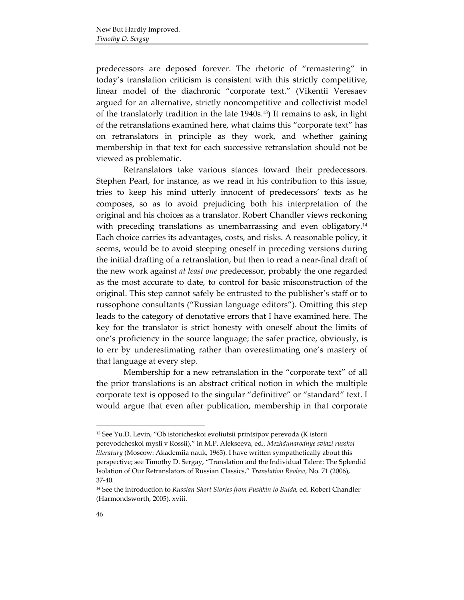predecessors are deposed forever. The rhetoric of "remastering" in today's translation criticism is consistent with this strictly competitive, linear model of the diachronic "corporate text." (Vikentii Veresaev argued for an alternative, strictly noncompetitive and collectivist model of the translatorly tradition in the late 1940s.13) It remains to ask, in light of the retranslations examined here, what claims this "corporate text" has on retranslators in principle as they work, and whether gaining membership in that text for each successive retranslation should not be viewed as problematic.

Retranslators take various stances toward their predecessors. Stephen Pearl, for instance, as we read in his contribution to this issue, tries to keep his mind utterly innocent of predecessors' texts as he composes, so as to avoid prejudicing both his interpretation of the original and his choices as a translator. Robert Chandler views reckoning with preceding translations as unembarrassing and even obligatory.<sup>14</sup> Each choice carries its advantages, costs, and risks. A reasonable policy, it seems, would be to avoid steeping oneself in preceding versions during the initial drafting of a retranslation, but then to read a near‐final draft of the new work against *at least one* predecessor, probably the one regarded as the most accurate to date, to control for basic misconstruction of the original. This step cannot safely be entrusted to the publisher's staff or to russophone consultants ("Russian language editors"). Omitting this step leads to the category of denotative errors that I have examined here. The key for the translator is strict honesty with oneself about the limits of one's proficiency in the source language; the safer practice, obviously, is to err by underestimating rather than overestimating one's mastery of that language at every step.

Membership for a new retranslation in the "corporate text" of all the prior translations is an abstract critical notion in which the multiple corporate text is opposed to the singular "definitive" or "standard" text. I would argue that even after publication, membership in that corporate

<sup>13</sup> See Yu.D. Levin, "Ob istoricheskoi evoliutsii printsipov perevoda (K istorii perevodcheskoi mysli v Rossii)," in M.P. Alekseeva, ed., *Mezhdunarodnye sviazi russkoi literatury* (Moscow: Akademiia nauk, 1963). I have written sympathetically about this perspective; see Timothy D. Sergay, "Translation and the Individual Talent: The Splendid Isolation of Our Retranslators of Russian Classics," *Translation Review*, No. 71 (2006), 37‐40.

<sup>14</sup> See the introduction to *Russian Short Stories from Pushkin to Buida,* ed. Robert Chandler (Harmondsworth, 2005), xviii.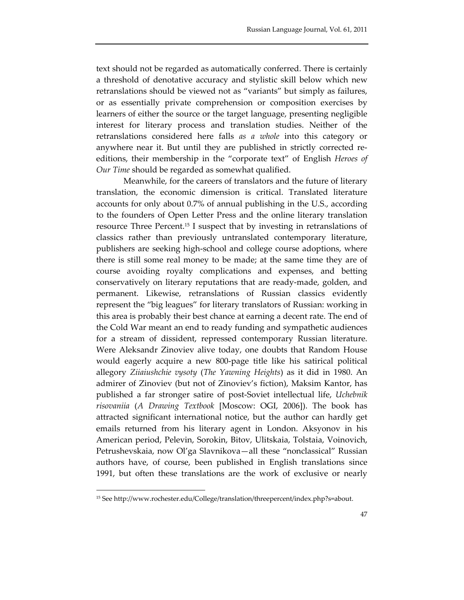text should not be regarded as automatically conferred. There is certainly a threshold of denotative accuracy and stylistic skill below which new retranslations should be viewed not as "variants" but simply as failures, or as essentially private comprehension or composition exercises by learners of either the source or the target language, presenting negligible interest for literary process and translation studies. Neither of the retranslations considered here falls *as a whole* into this category or anywhere near it. But until they are published in strictly corrected re‐ editions, their membership in the "corporate text" of English *Heroes of Our Time* should be regarded as somewhat qualified.

Meanwhile, for the careers of translators and the future of literary translation, the economic dimension is critical. Translated literature accounts for only about 0.7% of annual publishing in the U.S., according to the founders of Open Letter Press and the online literary translation resource Three Percent.15 I suspect that by investing in retranslations of classics rather than previously untranslated contemporary literature, publishers are seeking high‐school and college course adoptions, where there is still some real money to be made; at the same time they are of course avoiding royalty complications and expenses, and betting conservatively on literary reputations that are ready‐made, golden, and permanent. Likewise, retranslations of Russian classics evidently represent the "big leagues" for literary translators of Russian: working in this area is probably their best chance at earning a decent rate. The end of the Cold War meant an end to ready funding and sympathetic audiences for a stream of dissident, repressed contemporary Russian literature. Were Aleksandr Zinoviev alive today, one doubts that Random House would eagerly acquire a new 800‐page title like his satirical political allegory *Ziiaiushchie vysoty* (*The Yawning Heights*) as it did in 1980. An admirer of Zinoviev (but not of Zinoviev's fiction), Maksim Kantor, has published a far stronger satire of post‐Soviet intellectual life, *Uchebnik risovaniia* (*A Drawing Textbook* [Moscow: OGI, 2006]). The book has attracted significant international notice, but the author can hardly get emails returned from his literary agent in London. Aksyonov in his American period, Pelevin, Sorokin, Bitov, Ulitskaia, Tolstaia, Voinovich, Petrushevskaia, now Ol'ga Slavnikova—all these "nonclassical" Russian authors have, of course, been published in English translations since 1991, but often these translations are the work of exclusive or nearly

<sup>15</sup> See http://www.rochester.edu/College/translation/threepercent/index.php?s=about.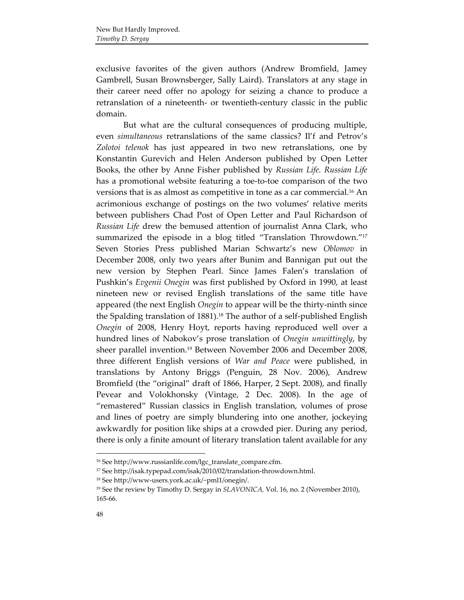exclusive favorites of the given authors (Andrew Bromfield, Jamey Gambrell, Susan Brownsberger, Sally Laird). Translators at any stage in their career need offer no apology for seizing a chance to produce a retranslation of a nineteenth‐ or twentieth‐century classic in the public domain.

But what are the cultural consequences of producing multiple, even *simultaneous* retranslations of the same classics? Il'f and Petrov's *Zolotoi telenok* has just appeared in two new retranslations, one by Konstantin Gurevich and Helen Anderson published by Open Letter Books, the other by Anne Fisher published by *Russian Life. Russian Life* has a promotional website featuring a toe-to-toe comparison of the two versions that is as almost as competitive in tone as a car commercial.16 An acrimonious exchange of postings on the two volumes' relative merits between publishers Chad Post of Open Letter and Paul Richardson of *Russian Life* drew the bemused attention of journalist Anna Clark, who summarized the episode in a blog titled "Translation Throwdown."17 Seven Stories Press published Marian Schwartz's new *Oblomov* in December 2008, only two years after Bunim and Bannigan put out the new version by Stephen Pearl. Since James Falen's translation of Pushkin's *Evgenii Onegin* was first published by Oxford in 1990, at least nineteen new or revised English translations of the same title have appeared (the next English *Onegin* to appear will be the thirty-ninth since the Spalding translation of 1881).<sup>18</sup> The author of a self-published English *Onegin* of 2008, Henry Hoyt, reports having reproduced well over a hundred lines of Nabokov's prose translation of *Onegin unwittingly*, by sheer parallel invention.19 Between November 2006 and December 2008, three different English versions of *War and Peace* were published, in translations by Antony Briggs (Penguin, 28 Nov. 2006), Andrew Bromfield (the "original" draft of 1866, Harper, 2 Sept. 2008), and finally Pevear and Volokhonsky (Vintage, 2 Dec. 2008). In the age of "remastered" Russian classics in English translation, volumes of prose and lines of poetry are simply blundering into one another, jockeying awkwardly for position like ships at a crowded pier. During any period, there is only a finite amount of literary translation talent available for any

<sup>16</sup> See http://www.russianlife.com/lgc\_translate\_compare.cfm.

<sup>&</sup>lt;sup>17</sup> See http://isak.typepad.com/isak/2010/02/translation-throwdown.html.

<sup>18</sup> See http://www‐users.york.ac.uk/~pml1/onegin/.

<sup>&</sup>lt;sup>19</sup> See the review by Timothy D. Sergay in *SLAVONICA*, Vol. 16, no. 2 (November 2010), 165‐66.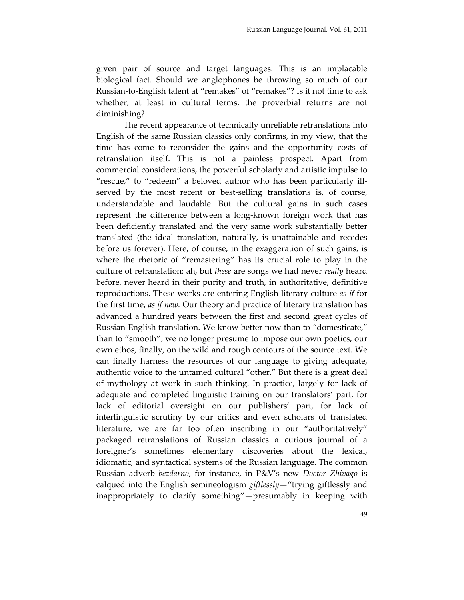given pair of source and target languages. This is an implacable biological fact. Should we anglophones be throwing so much of our Russian‐to‐English talent at "remakes" of "remakes"? Is it not time to ask whether, at least in cultural terms, the proverbial returns are not diminishing?

The recent appearance of technically unreliable retranslations into English of the same Russian classics only confirms, in my view, that the time has come to reconsider the gains and the opportunity costs of retranslation itself. This is not a painless prospect. Apart from commercial considerations, the powerful scholarly and artistic impulse to "rescue," to "redeem" a beloved author who has been particularly ill‐ served by the most recent or best-selling translations is, of course, understandable and laudable. But the cultural gains in such cases represent the difference between a long‐known foreign work that has been deficiently translated and the very same work substantially better translated (the ideal translation, naturally, is unattainable and recedes before us forever). Here, of course, in the exaggeration of such gains, is where the rhetoric of "remastering" has its crucial role to play in the culture of retranslation: ah, but *these* are songs we had never *really* heard before, never heard in their purity and truth, in authoritative, definitive reproductions. These works are entering English literary culture *as if* for the first time, *as if new.* Our theory and practice of literary translation has advanced a hundred years between the first and second great cycles of Russian‐English translation. We know better now than to "domesticate," than to "smooth"; we no longer presume to impose our own poetics, our own ethos, finally, on the wild and rough contours of the source text. We can finally harness the resources of our language to giving adequate, authentic voice to the untamed cultural "other." But there is a great deal of mythology at work in such thinking. In practice, largely for lack of adequate and completed linguistic training on our translators' part, for lack of editorial oversight on our publishers' part, for lack of interlinguistic scrutiny by our critics and even scholars of translated literature, we are far too often inscribing in our "authoritatively" packaged retranslations of Russian classics a curious journal of a foreigner's sometimes elementary discoveries about the lexical, idiomatic, and syntactical systems of the Russian language. The common Russian adverb *bezdarno*, for instance, in P&V's new *Doctor Zhivago* is calqued into the English semineologism *giftlessly*—"trying giftlessly and inappropriately to clarify something"—presumably in keeping with